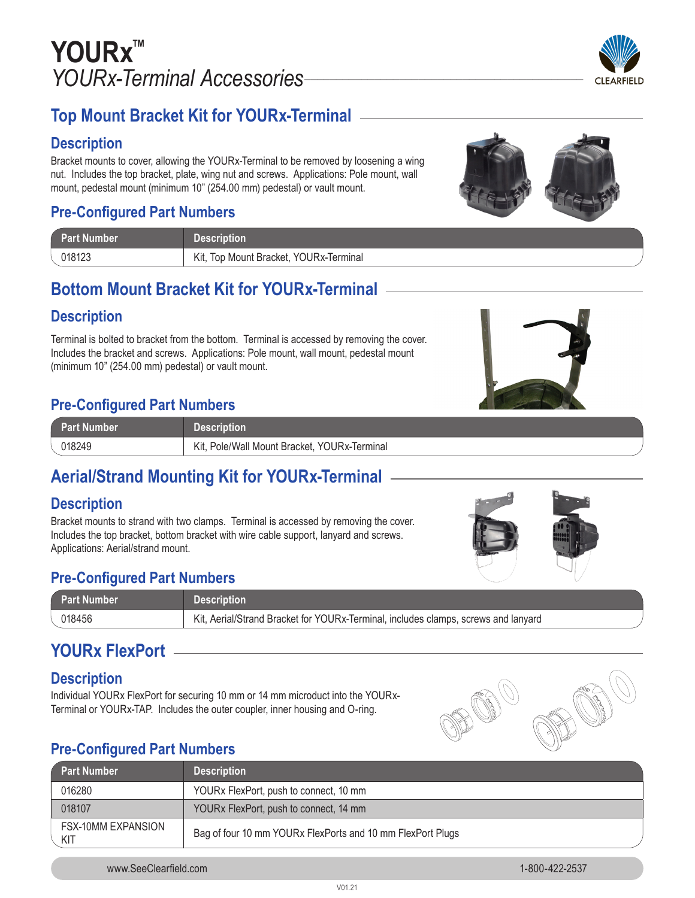

### **Top Mount Bracket Kit for YOURx-Terminal**

### **Description**

Bracket mounts to cover, allowing the YOURx-Terminal to be removed by loosening a wing nut. Includes the top bracket, plate, wing nut and screws. Applications: Pole mount, wall mount, pedestal mount (minimum 10" (254.00 mm) pedestal) or vault mount.

### **Pre-Configured Part Numbers**

| ' Part Number | <b>Description</b>                     |
|---------------|----------------------------------------|
| 018123        | Kit, Top Mount Bracket, YOURx-Terminal |

### **Bottom Mount Bracket Kit for YOURx-Terminal**

### **Description**

Terminal is bolted to bracket from the bottom. Terminal is accessed by removing the cover. Includes the bracket and screws. Applications: Pole mount, wall mount, pedestal mount (minimum 10" (254.00 mm) pedestal) or vault mount.

### **Pre-Configured Part Numbers**

| <b>Part Number</b> | Description                                     |
|--------------------|-------------------------------------------------|
| )18249             | Pole/Wall Mount Bracket, YOURx-Terminal<br>Kit. |

# **Aerial/Strand Mounting Kit for YOURx-Terminal**

### **Description**

Bracket mounts to strand with two clamps. Terminal is accessed by removing the cover. Includes the top bracket, bottom bracket with wire cable support, lanyard and screws. Applications: Aerial/strand mount.

# **Pre-Configured Part Numbers**

| Part Number | <b>Description</b>                                                                 |
|-------------|------------------------------------------------------------------------------------|
| 018456      | Kit, Aerial/Strand Bracket for YOURx-Terminal, includes clamps, screws and lanyard |

# **YOURx FlexPort**

#### **Description**

Individual YOURx FlexPort for securing 10 mm or 14 mm microduct into the YOURx-Terminal or YOURx-TAP. Includes the outer coupler, inner housing and O-ring.



### **Pre-Configured Part Numbers**

| Part Number                      | <b>Description</b>                                         |
|----------------------------------|------------------------------------------------------------|
| 016280                           | YOURx FlexPort, push to connect, 10 mm                     |
| 018107                           | YOURx FlexPort, push to connect, 14 mm                     |
| <b>FSX-10MM EXPANSION</b><br>KIT | Bag of four 10 mm YOURx FlexPorts and 10 mm FlexPort Plugs |





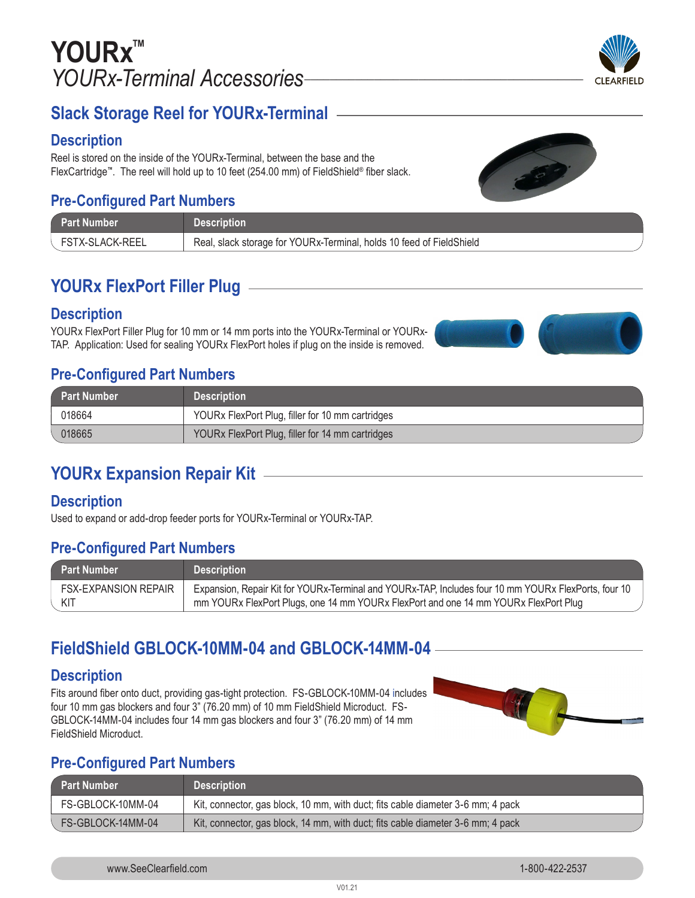# **YOURx™** *YOURx-Terminal Accessories\_\_\_\_\_\_\_\_\_\_\_\_\_\_\_\_\_\_\_\_\_\_\_\_\_\_\_\_\_\_\_\_\_\_\_\_\_\_\_\_\_\_\_\_*



### **Slack Storage Reel for YOURx-Terminal**

#### **Description**

Reel is stored on the inside of the YOURx-Terminal, between the base and the FlexCartridge**™**. The reel will hold up to 10 feet (254.00 mm) of FieldShield® fiber slack.

### **Pre-Configured Part Numbers**

| <b>Part Number</b> | <b>Description</b>                                                   |
|--------------------|----------------------------------------------------------------------|
| FSTX-SLACK-REEL    | Real, slack storage for YOURx-Terminal, holds 10 feed of FieldShield |

### **YOURx FlexPort Filler Plug**

#### **Description**

YOURx FlexPort Filler Plug for 10 mm or 14 mm ports into the YOURx-Terminal or YOURx-TAP. Application: Used for sealing YOURx FlexPort holes if plug on the inside is removed.

### **Pre-Configured Part Numbers**

| Part Number | <b>Description</b>                               |
|-------------|--------------------------------------------------|
| 018664      | YOURx FlexPort Plug, filler for 10 mm cartridges |
| 018665      | YOURX FlexPort Plug, filler for 14 mm cartridges |

### **YOURx Expansion Repair Kit**

#### **Description**

Used to expand or add-drop feeder ports for YOURx-Terminal or YOURx-TAP.

### **Pre-Configured Part Numbers**

| Part Number          | <b>Description</b>                                                                                   |
|----------------------|------------------------------------------------------------------------------------------------------|
| FSX-EXPANSION REPAIR | Expansion, Repair Kit for YOURx-Terminal and YOURx-TAP, Includes four 10 mm YOURx FlexPorts, four 10 |
| KIT                  | mm YOURx FlexPort Plugs, one 14 mm YOURx FlexPort and one 14 mm YOURx FlexPort Plug                  |

### **FieldShield GBLOCK-10MM-04 and GBLOCK-14MM-04**

#### **Description**

Fits around fiber onto duct, providing gas-tight protection. FS-GBLOCK-10MM-04 includes four 10 mm gas blockers and four 3" (76.20 mm) of 10 mm FieldShield Microduct. FS-GBLOCK-14MM-04 includes four 14 mm gas blockers and four 3" (76.20 mm) of 14 mm FieldShield Microduct.



### **Pre-Configured Part Numbers**

| Part Number       | <b>Description</b>                                                              |
|-------------------|---------------------------------------------------------------------------------|
| FS-GBLOCK-10MM-04 | Kit, connector, gas block, 10 mm, with duct; fits cable diameter 3-6 mm; 4 pack |
| FS-GBLOCK-14MM-04 | Kit, connector, gas block, 14 mm, with duct; fits cable diameter 3-6 mm; 4 pack |